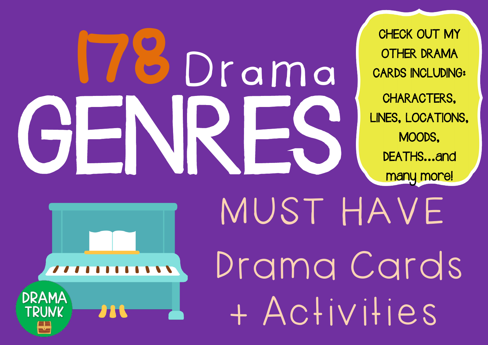# GENRES Drama

CHECK OUT MY OTHER DRAMA CARDS INCLUDING: CHARACTERS, LINES, LOCATIONS, MOODS, DEATHS...and many more!

**DRAMA TRUNK** 

 MUST HAVE Drama Cards + Activities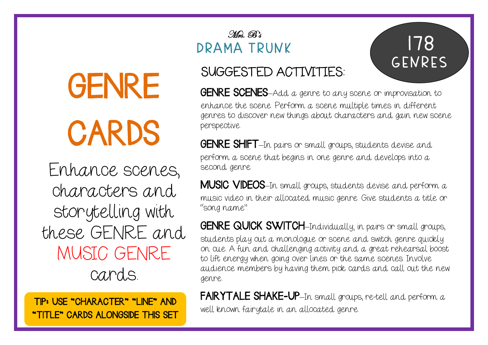## GENRE CARDS

Enhance scenes, characters and storytelling with these GENRE and MUSIC GENRE cards.

"TITLE" CARDS ALONGSIDE THIS SET

#### Mrs. B's DRAMA TRUNK

### 178 GENRES

#### SUGGESTED ACTIVITIES:

GENRE SCENES-Add a genre to any scene or improvisation to enhance the scene. Perform a scene multiple times in different genres to discover new things about characters and gain new scene perspective.

GENRE SHIFT-In pairs or small groups, students devise and perform a scene that begins in one genre and develops into a second genre.

MUSIC VIDEOS–In small groups, students devise and perform a music video in their allocated music genre. Give students a title or "song name".

**GENRE QUICK SWITCH**-Individually; in pairs or small groups, students play out a monologue or scene and switch genre quickly on cue. A fun and challenging activity and a great rehearsal boost to lift energy when going over lines or the same scenes. Involve audience members by having them pick cards and call out the new genre.

FAIRYTALE SHAKE-UP-In small groups, re-tell and perform a TIP: USE "CHARACTER" "LINE" AND<br>well known fairytale in an allocated genre.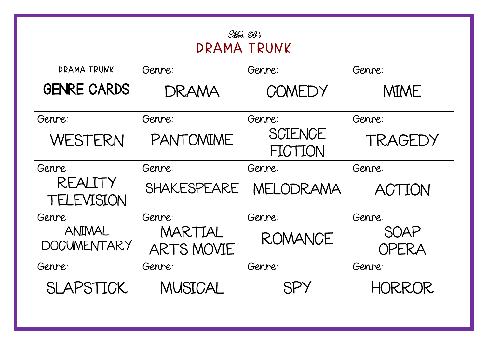| . Wus. Br   |  |  |
|-------------|--|--|
| DRAMA TRUNK |  |  |

| DRAMA TRUNK                  | Genre:                | Genre:                    | Genre:               |
|------------------------------|-----------------------|---------------------------|----------------------|
| <b>GENRE CARDS</b>           | DRAMA                 | COMEDY                    | <b>MIME</b>          |
| Genre:                       | Genre:                | Genre:                    | Genre:               |
| WESTERN                      | PANTOMIME             | <b>SCIENCE</b><br>FICTION | TRAGEDY              |
| Genre:                       | Genre:                | Genre:                    | Genre:               |
| REALITY<br><b>TELEVISION</b> | SHAKESPEARE           | MELODRAMA                 | <b>ACTION</b>        |
| Genre:                       | Genre:                | Genre:                    | Genre:               |
| ANIMAL<br><b>DOCUMENTARY</b> | MARTIAL<br>ARTS MOVIE | <b>ROMANCE</b>            | SOAP<br><b>OPERA</b> |
| Genre:                       | Genre:                | Genre:                    | Genre:               |
| <b>SLAPSTICK</b>             | <b>MUSICAL</b>        | SPY                       | <b>HORROR</b>        |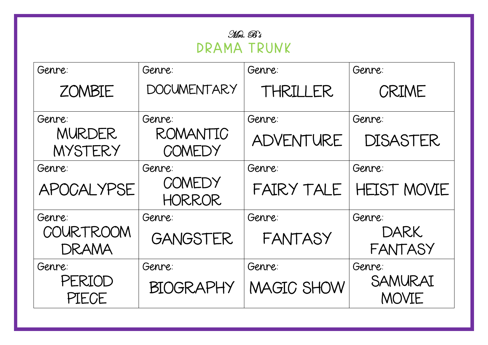| Genre:                   | Genre:                  | Genre:            | Genre:                  |
|--------------------------|-------------------------|-------------------|-------------------------|
| <b>ZOMBIE</b>            | <b>DOCUMENTARY</b>      | THRILLER          | CRIME                   |
| Genre:                   | Genre:                  | Genre:            | Genre:                  |
| <b>MURDER</b><br>MYSTERY | ROMANTIC<br>COMEDY      | ADVENTURE         | <b>DISASTER</b>         |
| Genre:                   | Genre:                  | Genre:            | Genre:                  |
| <b>APOCALYPSE</b>        | COMEDY<br><b>HORROR</b> | FAIRY TALE        | <b>HEIST MOVIE</b>      |
| Genre:                   | Genre:                  | Genre:            | Genre:                  |
| COURTROOM<br>DRAMA       | <b>GANGSTER</b>         | <b>FANTASY</b>    | <b>DARK</b><br>FANTASY  |
| Genre:                   | Genre:                  | Genre:            | Genre:                  |
| PERIOD<br>PIECE          | <b>BIOGRAPHY</b>        | <b>MAGIC SHOW</b> | SAMURAI<br><b>MOVIE</b> |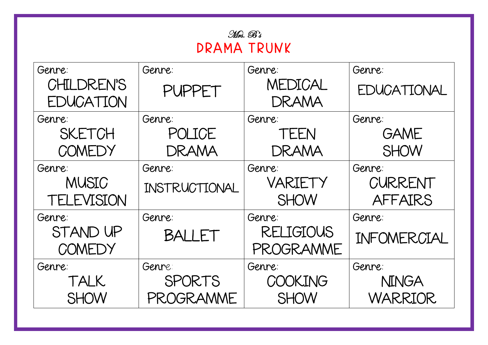| Mrs. B's    |  |  |
|-------------|--|--|
| DRAMA TRUNK |  |  |

| Genre:            | Genre:        | Genre:           | Genre:       |
|-------------------|---------------|------------------|--------------|
| CHILDREN'S        | PUPPET        | MEDICAL          | EDUCATIONAL  |
| EDUCATION         |               | DRAMA            |              |
| Genre:            | Genre:        | Genre:           | Genre:       |
| <b>SKETCH</b>     | POLICE        | TEEN             | <b>GAME</b>  |
| COMEDY            | DRAMA         | DRAMA            | <b>SHOW</b>  |
| Genre:            | Genre:        | Genre:           | Genre:       |
| MUSIC             | INSTRUCTIONAL | VARIETY          | CURRENT      |
| <b>TELEVISION</b> |               | <b>SHOW</b>      | AFFAIRS      |
| Genre:            | Genre:        | Genre:           | Genre:       |
| STAND UP          | BALLET        | <b>RELIGIOUS</b> | INFOMERCIAL  |
| COMEDY            |               | PROGRAMME        |              |
| Genre:            | Genre:        | Genre:           | Genre:       |
| TALK              | SPORTS        | COOKING          | <b>NINGA</b> |
| <b>SHOW</b>       | PROGRAMME     | <b>SHOW</b>      | WARRIOR      |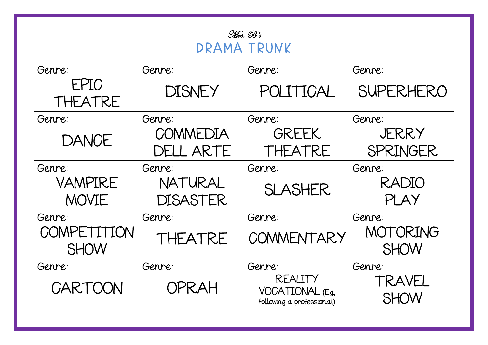| Genre:                     | Genre:                     | Genre:                                                           | Genre:                   |
|----------------------------|----------------------------|------------------------------------------------------------------|--------------------------|
| EPIC<br>THEATRE            | DISNEY                     | POLITICAL                                                        | <b>SUPERHERO</b>         |
| Genre:                     | Genre:                     | Genre:                                                           | Genre:                   |
| <b>DANCE</b>               | COMMEDIA<br>DELL ARTE      | <b>GREEK</b><br>THEATRE                                          | JERRY<br><b>SPRINGER</b> |
| Genre:                     | Genre:                     | Genre:                                                           | Genre:                   |
| VAMPIRE<br><b>MOVIE</b>    | NATURAL<br><b>DISASTER</b> | <b>SLASHER</b>                                                   | RADIO<br>PLAY            |
| Genre:                     | Genre:                     | Genre:                                                           | Genre:                   |
| COMPETITION<br><b>SHOW</b> | THEATRE                    | COMMENTARY                                                       | MOTORING<br><b>SHOW</b>  |
| Genre:                     | Genre:                     | Genre:                                                           | Genre:                   |
| CARTOON                    | OPRAH                      | <b>REALITY</b><br>VOCATIONAL $(Eg,$<br>following a professional) | TRAVEL<br><b>SHOW</b>    |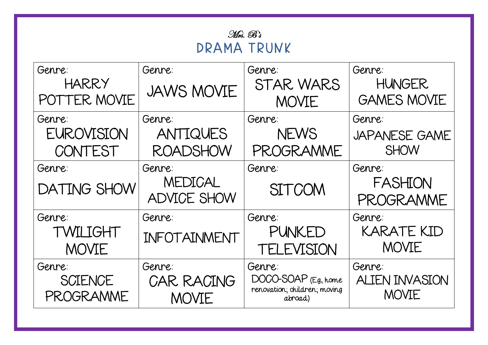| Mrs. B's    |  |
|-------------|--|
| DRAMA TRUNK |  |

| Genre:             | Genre:             | Genre:                                  | Genre:                |
|--------------------|--------------------|-----------------------------------------|-----------------------|
| <b>HARRY</b>       | <b>JAWS MOVIE</b>  | STAR WARS                               | <b>HUNGER</b>         |
| POTTER MOVIE       |                    | <b>MOVIE</b>                            | <b>GAMES MOVIE</b>    |
| Genre:             | Genre:             | Genre:                                  | Genre:                |
| <b>EUROVISION</b>  | ANTIQUES           | <b>NEWS</b>                             | <b>JAPANESE GAME</b>  |
| CONTEST            | <b>ROADSHOW</b>    | PROGRAMME                               | <b>SHOW</b>           |
| Genre:             | Genre:             | Genre:                                  | Genre:                |
| <b>DATING SHOW</b> | MEDICAL            | <b>SITCOM</b>                           | FASHION               |
|                    | <b>ADVICE SHOW</b> |                                         | PROGRAMME             |
| Genre:             | Genre:             | Genre:                                  | Genre:                |
| TWILIGHT           | INFOTAINMENT       | <b>PUNKED</b>                           | <b>KARATE KID</b>     |
| MOVIE              |                    | <b>TELEVISION</b>                       | <b>MOVIE</b>          |
| Genre:             | Genre:             | Genre:                                  | Genre:                |
| <b>SCIENCE</b>     | <b>CAR RACING</b>  | $DOCO-SOAP$ (E.g., home                 | <b>ALIEN INVASION</b> |
| PROGRAMME          | <b>MOVIE</b>       | renovation; children; moving<br>abroad) | <b>MOVIE</b>          |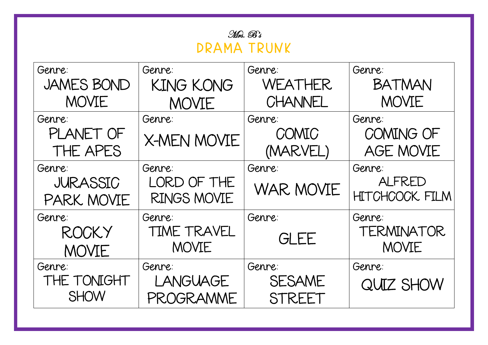| Genre:            | Genre:             | Genre:           | Genre:                |
|-------------------|--------------------|------------------|-----------------------|
| <b>JAMES BOND</b> | <b>KING KONG</b>   | WEATHER          | <b>BATMAN</b>         |
| MOVIE             | MOVIE              | CHANNEL          | <b>MOVIE</b>          |
| Genre:            | Genre:             | Genre:           | Genre:                |
| PLANET OF         | <b>X-MEN MOVIE</b> | COMIC            | COMING OF             |
| THE APES          |                    | (MARVEL)         | <b>AGE MOVIE</b>      |
| Genre:            | Genre:             | Genre:           | Genre:                |
| <b>JURASSIC</b>   | LORD OF THE        | <b>WAR MOVIE</b> | ALFRED                |
| PARK MOVIE        | <b>RINGS MOVIE</b> |                  | <b>HITCHCOCK FILM</b> |
| Genre:            | Genre:             | Genre:           | Genre:                |
| <b>ROCKY</b>      | <b>TIME TRAVEL</b> | <b>GLEE</b>      | TERMINATOR            |
| <b>MOVIE</b>      | <b>MOVIE</b>       |                  | <b>MOVIE</b>          |
| Genre:            | Genre:             | Genre:           | Genre:                |
| THE TONIGHT       | <b>LANGUAGE</b>    | <b>SESAME</b>    | QUIZ SHOW             |
| <b>SHOW</b>       | PROGRAMME          | STREET           |                       |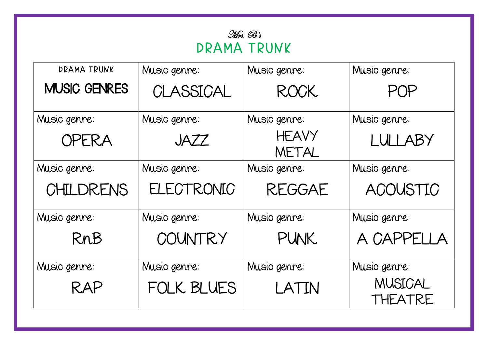| DRAMA TRUNK         | Music genre: | Music genre:          | Music genre:       |
|---------------------|--------------|-----------------------|--------------------|
| <b>MUSIC GENRES</b> | CLASSICAL    | <b>ROCK</b>           | POP                |
| Music genre:        | Music genre: | Music genre:          | Music genre:       |
| <b>OPERA</b>        | JAZZ         | <b>HEAVY</b><br>METAL | LULLABY            |
| Music genre:        | Music genre: | Music genre:          | Music genre:       |
| <b>CHILDRENS</b>    | ELECTRONIC   | <b>REGGAE</b>         | ACOUSTIC           |
| Music genre:        | Music genre: | Music genre:          | Music genre:       |
| RnB                 | COUNTRY      | <b>PUNK</b>           | A CAPPELLA         |
| Music genre:        | Music genre: | Music genre:          | Music genre:       |
| RAP                 | FOLK BLUES   | LATIN                 | MUSICAL<br>THEATRE |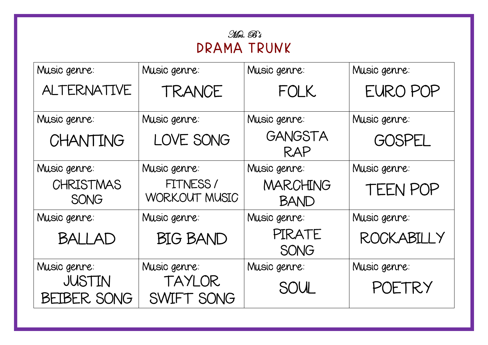| Music genre:                        | Music genre:                | Music genre:                   | Music genre:  |
|-------------------------------------|-----------------------------|--------------------------------|---------------|
| <b>ALTERNATIVE</b>                  | TRANCE                      | <b>FOLK</b>                    | EURO POP      |
| Music genre:                        | Music genre:                | Music genre:                   | Music genre:  |
| CHANTING                            | LOVE SONG                   | GANGSTA<br>RAP                 | <b>GOSPEL</b> |
| Music genre:                        | Music genre:                | Music genre:                   | Music genre:  |
| <b>CHRISTMAS</b><br><b>SONG</b>     | FITNESS/<br>WORKOUT MUSIC   | <b>MARCHING</b><br><b>BAND</b> | TEEN POP      |
| Music genre:                        | Music genre:                | Music genre:                   | Music genre:  |
| <b>BALLAD</b>                       | <b>BIG BAND</b>             | PIRATE<br><b>SONG</b>          | ROCKABILLY    |
| Music genre:                        | Music genre:                | Music genre:                   | Music genre:  |
| <b>JUSTIN</b><br><b>BEIBER SONG</b> | <b>TAYLOR</b><br>SWIFT SONG | SOUL                           | POETRY        |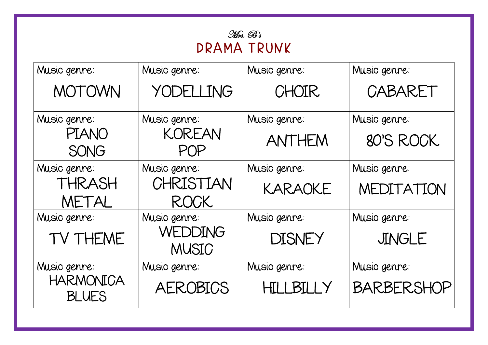| Music genre:                     | Music genre:                   | Music genre:  | Music genre:      |
|----------------------------------|--------------------------------|---------------|-------------------|
| MOTOWN                           | YODELLING                      | CHOIR         | CABARET           |
| Music genre:                     | Music genre:                   | Music genre:  | Music genre:      |
| <b>PIANO</b><br><b>SONG</b>      | <b>KOREAN</b><br>POP           | ANTHEM        | 80'S ROCK         |
| Music genre:                     | Music genre:                   | Music genre:  | Music genre:      |
| THRASH                           | CHRISTIAN                      | KARAOKE       | MEDITATION        |
| METAL                            | <b>ROCK</b>                    |               |                   |
| Music genre:                     | Music genre:                   | Music genre:  | Music genre:      |
| TV THEME                         | <b>WEDDING</b><br><b>MUSIC</b> | <b>DISNEY</b> | JINGLE            |
| Music genre:                     | Music genre:                   | Music genre:  | Music genre:      |
| <b>HARMONICA</b><br><b>BLUES</b> | <b>AEROBICS</b>                | HILLBILLY     | <b>BARBERSHOP</b> |